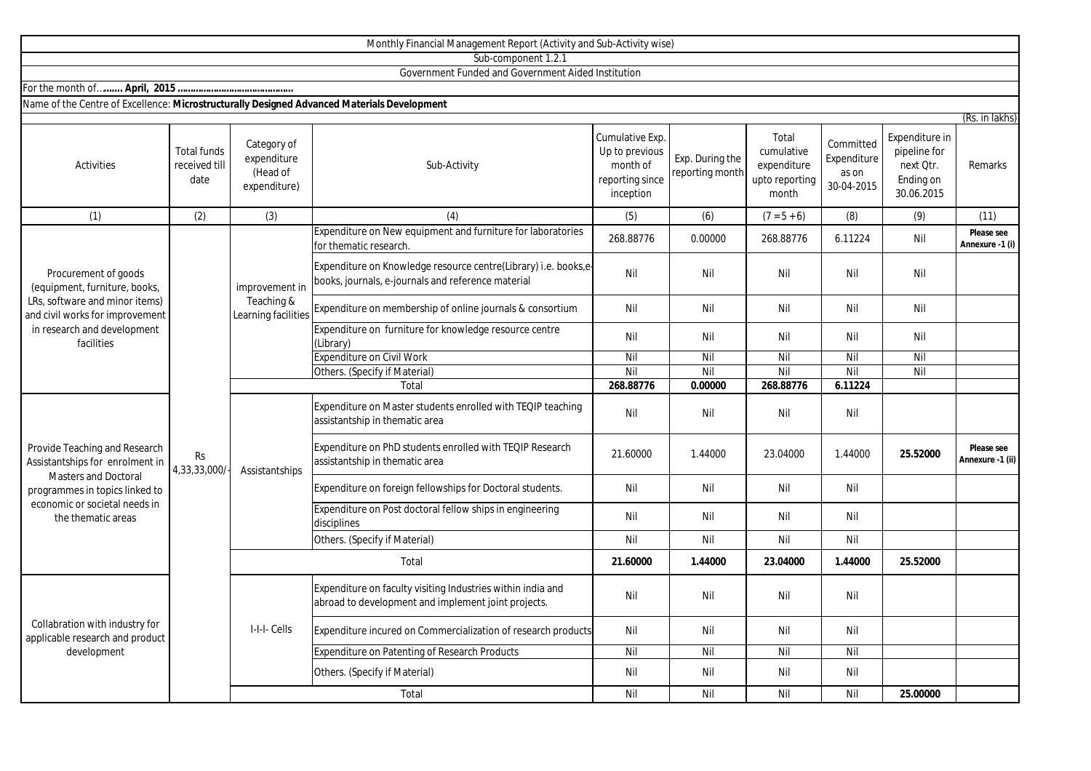|                                                                                                                                                                                   |                                             |                                                        | Monthly Financial Management Report (Activity and Sub-Activity wise)                                                  |                                                                               |                                    |                                                               |                                                 |                                                                        |                                |
|-----------------------------------------------------------------------------------------------------------------------------------------------------------------------------------|---------------------------------------------|--------------------------------------------------------|-----------------------------------------------------------------------------------------------------------------------|-------------------------------------------------------------------------------|------------------------------------|---------------------------------------------------------------|-------------------------------------------------|------------------------------------------------------------------------|--------------------------------|
|                                                                                                                                                                                   |                                             |                                                        | Sub-component 1.2.1                                                                                                   |                                                                               |                                    |                                                               |                                                 |                                                                        |                                |
|                                                                                                                                                                                   |                                             |                                                        | Government Funded and Government Aided Institution                                                                    |                                                                               |                                    |                                                               |                                                 |                                                                        |                                |
|                                                                                                                                                                                   |                                             |                                                        |                                                                                                                       |                                                                               |                                    |                                                               |                                                 |                                                                        |                                |
| Name of the Centre of Excellence: Microstructurally Designed Advanced Materials Development                                                                                       |                                             |                                                        |                                                                                                                       |                                                                               |                                    |                                                               |                                                 |                                                                        |                                |
|                                                                                                                                                                                   |                                             |                                                        |                                                                                                                       |                                                                               |                                    |                                                               |                                                 |                                                                        | (Rs. in lakhs)                 |
| Activities                                                                                                                                                                        | <b>Total funds</b><br>received till<br>date | Category of<br>expenditure<br>(Head of<br>expenditure) | Sub-Activity                                                                                                          | Cumulative Exp.<br>Up to previous<br>month of<br>reporting since<br>inception | Exp. During the<br>reporting month | Total<br>cumulative<br>expenditure<br>upto reporting<br>month | Committed<br>Expenditure<br>as on<br>30-04-2015 | Expenditure in<br>pipeline for<br>next Qtr.<br>Ending on<br>30.06.2015 | Remarks                        |
| (1)                                                                                                                                                                               | (2)                                         | (3)                                                    | (4)                                                                                                                   | (5)                                                                           | (6)                                | $(7 = 5 + 6)$                                                 | (8)                                             | (9)                                                                    | (11)                           |
| Procurement of goods<br>(equipment, furniture, books,<br>LRs, software and minor items)<br>and civil works for improvement<br>in research and development<br>facilities           | <b>Rs</b><br>4,33,33,000/                   | improvement in<br>Teaching &<br>Learning facilities    | Expenditure on New equipment and furniture for laboratories<br>for thematic research                                  | 268.88776                                                                     | 0.00000                            | 268.88776                                                     | 6.11224                                         | Nil                                                                    | Please see<br>Annexure -1 (i)  |
|                                                                                                                                                                                   |                                             |                                                        | Expenditure on Knowledge resource centre(Library) i.e. books,e-<br>books, journals, e-journals and reference material | Nil                                                                           | Nil                                | Nil                                                           | Nil                                             | Nil                                                                    |                                |
|                                                                                                                                                                                   |                                             |                                                        | Expenditure on membership of online journals & consortium                                                             | Nil                                                                           | Nil                                | Nil                                                           | Nil                                             | Nil                                                                    |                                |
|                                                                                                                                                                                   |                                             |                                                        | Expenditure on furniture for knowledge resource centre<br>(Library)                                                   | Nil                                                                           | Nil                                | Nil                                                           | Nil                                             | Nil                                                                    |                                |
|                                                                                                                                                                                   |                                             |                                                        | <b>Expenditure on Civil Work</b>                                                                                      | Nil                                                                           | Nil                                | Nil                                                           | Nil                                             | Nil                                                                    |                                |
|                                                                                                                                                                                   |                                             |                                                        | Others. (Specify if Material)                                                                                         | Nil                                                                           | Nil                                | Nil                                                           | Nil                                             | Nil                                                                    |                                |
|                                                                                                                                                                                   |                                             |                                                        | Total                                                                                                                 | 268.88776                                                                     | 0.00000                            | 268.88776                                                     | 6.11224                                         |                                                                        |                                |
| Provide Teaching and Research<br>Assistantships for enrolment in<br>Masters and Doctoral<br>programmes in topics linked to<br>economic or societal needs in<br>the thematic areas |                                             | Assistantships                                         | Expenditure on Master students enrolled with TEQIP teaching<br>assistantship in thematic area                         | Nil                                                                           | Nil                                | Nil                                                           | Nil                                             |                                                                        |                                |
|                                                                                                                                                                                   |                                             |                                                        | Expenditure on PhD students enrolled with TEQIP Research<br>assistantship in thematic area                            | 21.60000                                                                      | 1.44000                            | 23.04000                                                      | 1.44000                                         | 25.52000                                                               | Please see<br>Annexure -1 (ii) |
|                                                                                                                                                                                   |                                             |                                                        | Expenditure on foreign fellowships for Doctoral students.                                                             | Nil                                                                           | Nil                                | Nil                                                           | Nil                                             |                                                                        |                                |
|                                                                                                                                                                                   |                                             |                                                        | Expenditure on Post doctoral fellow ships in engineering<br>disciplines                                               | Nil                                                                           | Nil                                | Nil                                                           | Nil                                             |                                                                        |                                |
|                                                                                                                                                                                   |                                             |                                                        | Others. (Specify if Material)                                                                                         | Nil                                                                           | Nil                                | Nil                                                           | Nil                                             |                                                                        |                                |
|                                                                                                                                                                                   |                                             | Total                                                  |                                                                                                                       | 21.60000                                                                      | 1.44000                            | 23.04000                                                      | 1.44000                                         | 25.52000                                                               |                                |
| Collabration with industry for<br>applicable research and product<br>development                                                                                                  |                                             | I-I-I- Cells                                           | Expenditure on faculty visiting Industries within india and<br>abroad to development and implement joint projects.    | Nil                                                                           | Nil                                | Nil                                                           | Nil                                             |                                                                        |                                |
|                                                                                                                                                                                   |                                             |                                                        | Expenditure incured on Commercialization of research products                                                         | Nil                                                                           | Nil                                | Nil                                                           | Nil                                             |                                                                        |                                |
|                                                                                                                                                                                   |                                             |                                                        | <b>Expenditure on Patenting of Research Products</b>                                                                  | Nil                                                                           | Nil                                | Nil                                                           | Nil                                             |                                                                        |                                |
|                                                                                                                                                                                   |                                             |                                                        | Others. (Specify if Material)                                                                                         | Nil                                                                           | Nil                                | Nil                                                           | Nil                                             |                                                                        |                                |

Total

Nil Nil Nil Nil **25.00000**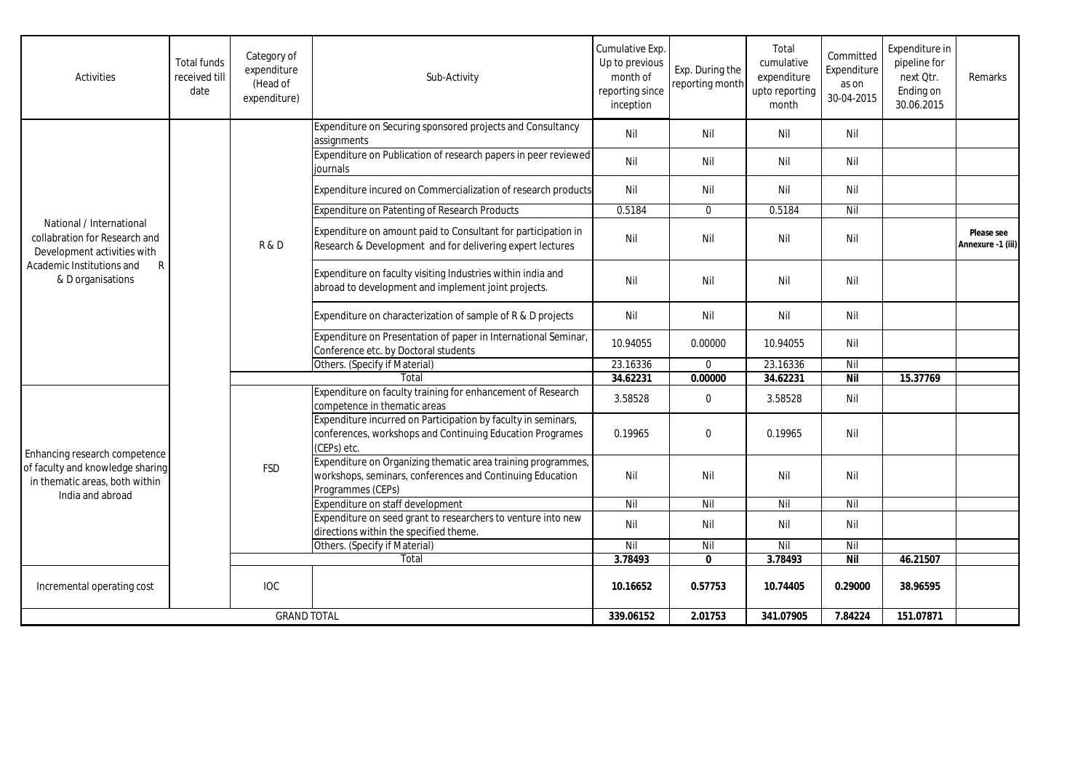| Activities                                                                                                                                      | <b>Total funds</b><br>received till<br>date | Category of<br>expenditure<br>(Head of<br>expenditure) | Sub-Activity                                                                                                                                   | Cumulative Exp.<br>Up to previous<br>month of<br>reporting since<br>inception | Exp. During the<br>reporting month | Total<br>cumulative<br>expenditure<br>upto reporting<br>month | Committed<br>Expenditure<br>as on<br>30-04-2015 | Expenditure in<br>pipeline for<br>next Qtr.<br>Ending on<br>30.06.2015 | Remarks                         |
|-------------------------------------------------------------------------------------------------------------------------------------------------|---------------------------------------------|--------------------------------------------------------|------------------------------------------------------------------------------------------------------------------------------------------------|-------------------------------------------------------------------------------|------------------------------------|---------------------------------------------------------------|-------------------------------------------------|------------------------------------------------------------------------|---------------------------------|
|                                                                                                                                                 |                                             | R&D                                                    | Expenditure on Securing sponsored projects and Consultancy<br>assignments                                                                      | Nil                                                                           | Nil                                | Nil                                                           | Nil                                             |                                                                        |                                 |
|                                                                                                                                                 |                                             |                                                        | Expenditure on Publication of research papers in peer reviewed<br>iournals                                                                     | Nil                                                                           | Nil                                | Nil                                                           | Nil                                             |                                                                        |                                 |
|                                                                                                                                                 |                                             |                                                        | Expenditure incured on Commercialization of research products                                                                                  | Nil                                                                           | Nil                                | Nil                                                           | Nil                                             |                                                                        |                                 |
|                                                                                                                                                 |                                             |                                                        | Expenditure on Patenting of Research Products                                                                                                  | 0.5184                                                                        | $\mathbf{0}$                       | 0.5184                                                        | Nil                                             |                                                                        |                                 |
| National / International<br>collabration for Research and<br>Development activities with<br>Academic Institutions and<br>R<br>& D organisations |                                             |                                                        | Expenditure on amount paid to Consultant for participation in<br>Research & Development and for delivering expert lectures                     | Nil                                                                           | Nil                                | Nil                                                           | Nil                                             |                                                                        | Please see<br>Annexure -1 (iii) |
|                                                                                                                                                 |                                             |                                                        | Expenditure on faculty visiting Industries within india and<br>abroad to development and implement joint projects.                             | Nil                                                                           | Nil                                | Nil                                                           | Nil                                             |                                                                        |                                 |
|                                                                                                                                                 |                                             |                                                        | Expenditure on characterization of sample of R & D projects                                                                                    | Nil                                                                           | Nil                                | Nil                                                           | Nil                                             |                                                                        |                                 |
|                                                                                                                                                 |                                             |                                                        | Expenditure on Presentation of paper in International Seminar,<br>Conference etc. by Doctoral students                                         | 10.94055                                                                      | 0.00000                            | 10.94055                                                      | Nil                                             |                                                                        |                                 |
|                                                                                                                                                 |                                             |                                                        | Others. (Specify if Material)                                                                                                                  | 23.16336                                                                      | $\Omega$                           | 23.16336                                                      | Nil                                             |                                                                        |                                 |
|                                                                                                                                                 |                                             |                                                        | Total                                                                                                                                          | 34.62231                                                                      | 0.00000                            | 34.62231                                                      | <b>Nil</b>                                      | 15.37769                                                               |                                 |
| Enhancing research competence<br>of faculty and knowledge sharing<br>in thematic areas, both within<br>India and abroad                         |                                             | <b>FSD</b>                                             | Expenditure on faculty training for enhancement of Research<br>competence in thematic areas                                                    | 3.58528                                                                       | $\mathbf 0$                        | 3.58528                                                       | Nil                                             |                                                                        |                                 |
|                                                                                                                                                 |                                             |                                                        | Expenditure incurred on Participation by faculty in seminars,<br>conferences, workshops and Continuing Education Programes<br>(CEPs) etc.      | 0.19965                                                                       | $\Omega$                           | 0.19965                                                       | Nil                                             |                                                                        |                                 |
|                                                                                                                                                 |                                             |                                                        | Expenditure on Organizing thematic area training programmes,<br>workshops, seminars, conferences and Continuing Education<br>Programmes (CEPs) | Nil                                                                           | Nil                                | Nil                                                           | Nil                                             |                                                                        |                                 |
|                                                                                                                                                 |                                             |                                                        | Expenditure on staff development                                                                                                               | Nil                                                                           | Nil                                | Nil                                                           | Nil                                             |                                                                        |                                 |
|                                                                                                                                                 |                                             |                                                        | Expenditure on seed grant to researchers to venture into new<br>directions within the specified theme.                                         | Nil                                                                           | Nil                                | Nil                                                           | Nil                                             |                                                                        |                                 |
|                                                                                                                                                 |                                             |                                                        | Others. (Specify if Material)                                                                                                                  | Nil                                                                           | Nil                                | Nil                                                           | Nil                                             |                                                                        |                                 |
|                                                                                                                                                 |                                             |                                                        | Total                                                                                                                                          | 3.78493                                                                       | $\mathbf{0}$                       | 3.78493                                                       | Nil                                             | 46.21507                                                               |                                 |
| Incremental operating cost                                                                                                                      |                                             | <b>IOC</b>                                             |                                                                                                                                                | 10.16652                                                                      | 0.57753                            | 10.74405                                                      | 0.29000                                         | 38.96595                                                               |                                 |
| <b>GRAND TOTAL</b>                                                                                                                              |                                             |                                                        | 339.06152                                                                                                                                      | 2.01753                                                                       | 341.07905                          | 7.84224                                                       | 151.07871                                       |                                                                        |                                 |